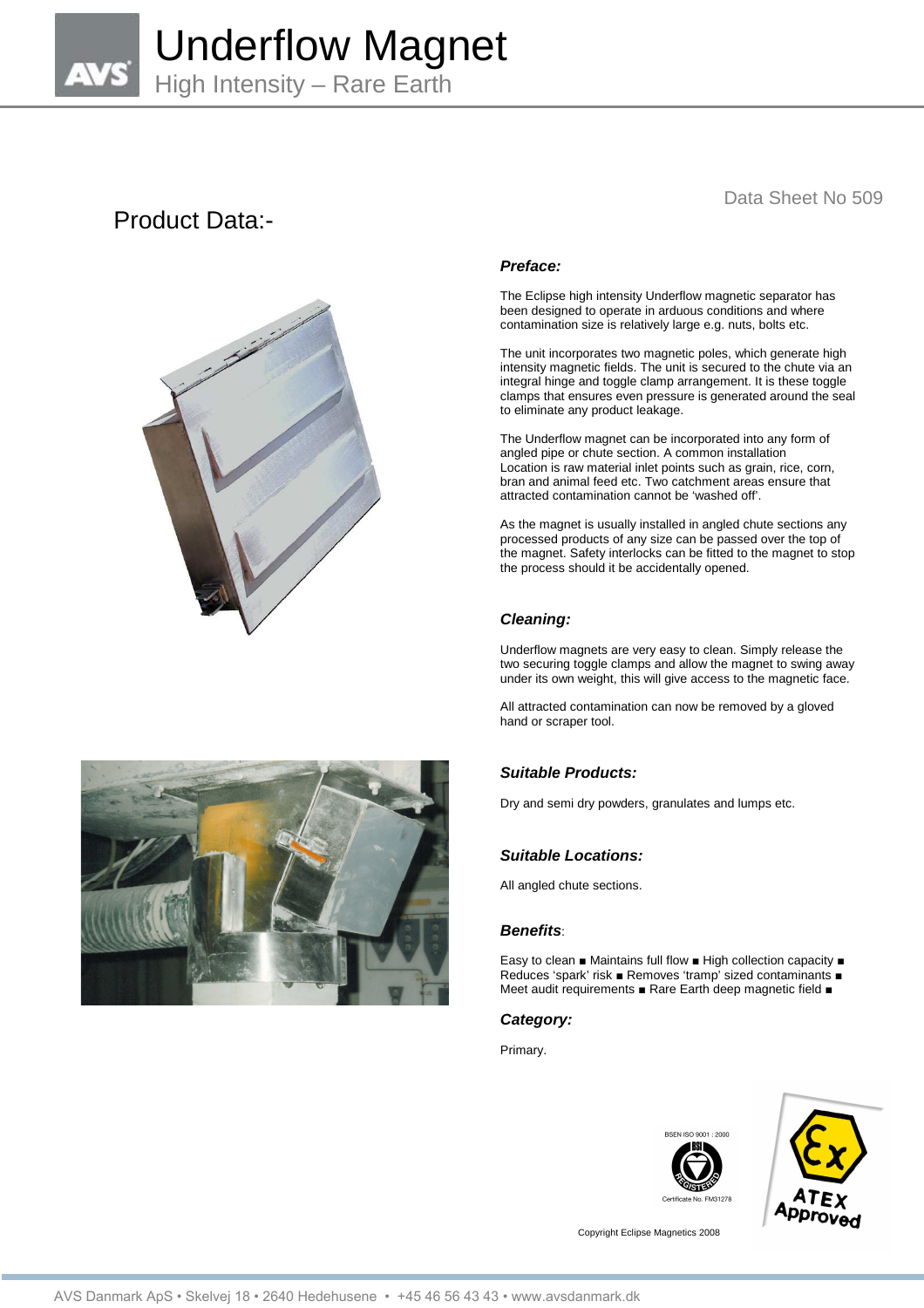

# Product Data:-



# Data Sheet No 509

# **Preface:**

The Eclipse high intensity Underflow magnetic separator has been designed to operate in arduous conditions and where contamination size is relatively large e.g. nuts, bolts etc.

The unit incorporates two magnetic poles, which generate high intensity magnetic fields. The unit is secured to the chute via an integral hinge and toggle clamp arrangement. It is these toggle clamps that ensures even pressure is generated around the seal to eliminate any product leakage.

The Underflow magnet can be incorporated into any form of angled pipe or chute section. A common installation Location is raw material inlet points such as grain, rice, corn, bran and animal feed etc. Two catchment areas ensure that attracted contamination cannot be 'washed off'.

As the magnet is usually installed in angled chute sections any processed products of any size can be passed over the top of the magnet. Safety interlocks can be fitted to the magnet to stop the process should it be accidentally opened.

#### **Cleaning:**

Underflow magnets are very easy to clean. Simply release the two securing toggle clamps and allow the magnet to swing away under its own weight, this will give access to the magnetic face.

All attracted contamination can now be removed by a gloved hand or scraper tool.



Dry and semi dry powders, granulates and lumps etc.

### **Suitable Locations:**

All angled chute sections.

#### **Benefits**:

Easy to clean ■ Maintains full flow ■ High collection capacity ■ Reduces 'spark' risk ■ Removes 'tramp' sized contaminants ■ Meet audit requirements ■ Rare Earth deep magnetic field ■

### **Category:**

Primary.





Copyright Eclipse Magnetics 2008